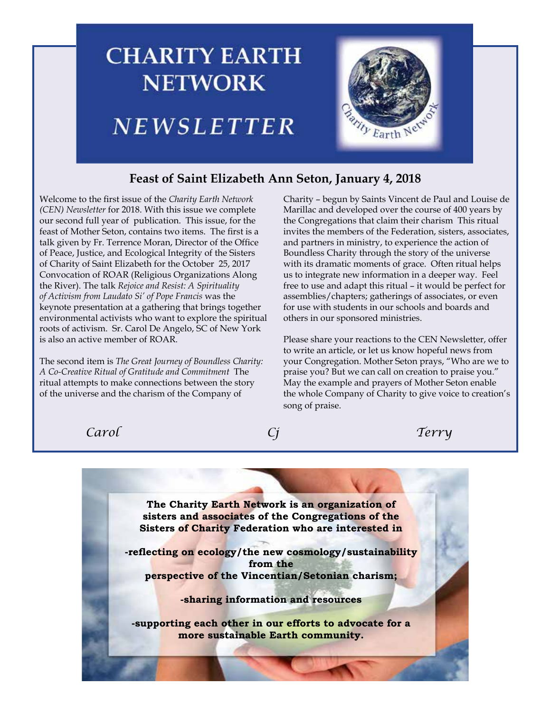# **CHARITY EARTH NETWORK Barity Earth N** NEWSLETTER

# **Feast of Saint Elizabeth Ann Seton, January 4, 2018**

Welcome to the first issue of the *Charity Earth Network (CEN) Newsletter* for 2018. With this issue we complete our second full year of publication. This issue, for the feast of Mother Seton, contains two items. The first is a talk given by Fr. Terrence Moran, Director of the Office of Peace, Justice, and Ecological Integrity of the Sisters of Charity of Saint Elizabeth for the October 25, 2017 Convocation of ROAR (Religious Organizations Along the River). The talk *Rejoice and Resist: A Spirituality of Activism from Laudato Si' of Pope Francis* was the keynote presentation at a gathering that brings together environmental activists who want to explore the spiritual roots of activism. Sr. Carol De Angelo, SC of New York is also an active member of ROAR.

The second item is *The Great Journey of Boundless Charity: A Co-Creative Ritual of Gratitude and Commitment* The ritual attempts to make connections between the story of the universe and the charism of the Company of

Charity – begun by Saints Vincent de Paul and Louise de Marillac and developed over the course of 400 years by the Congregations that claim their charism This ritual invites the members of the Federation, sisters, associates, and partners in ministry, to experience the action of Boundless Charity through the story of the universe with its dramatic moments of grace. Often ritual helps us to integrate new information in a deeper way. Feel free to use and adapt this ritual – it would be perfect for assemblies/chapters; gatherings of associates, or even for use with students in our schools and boards and others in our sponsored ministries.

Please share your reactions to the CEN Newsletter, offer to write an article, or let us know hopeful news from your Congregation. Mother Seton prays, "Who are we to praise you? But we can call on creation to praise you." May the example and prayers of Mother Seton enable the whole Company of Charity to give voice to creation's song of praise.

*Carol Cj Terry*



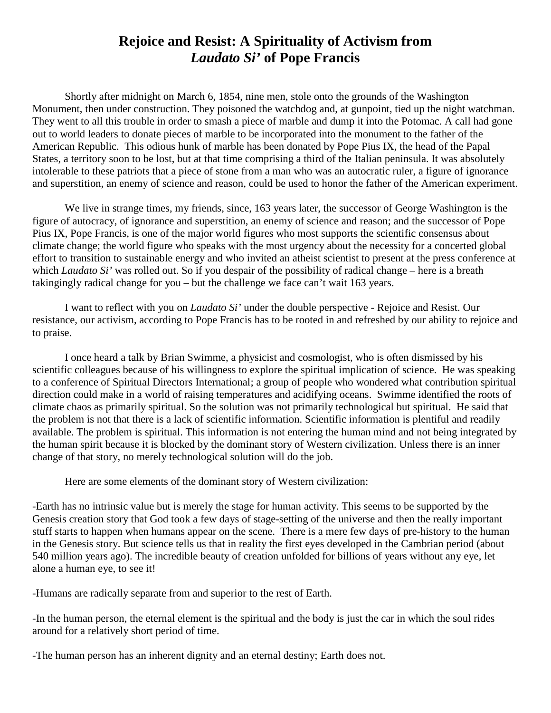# **Rejoice and Resist: A Spirituality of Activism from**  *Laudato Si'* **of Pope Francis**

Shortly after midnight on March 6, 1854, nine men, stole onto the grounds of the Washington Monument, then under construction. They poisoned the watchdog and, at gunpoint, tied up the night watchman. They went to all this trouble in order to smash a piece of marble and dump it into the Potomac. A call had gone out to world leaders to donate pieces of marble to be incorporated into the monument to the father of the American Republic. This odious hunk of marble has been donated by Pope Pius IX, the head of the Papal States, a territory soon to be lost, but at that time comprising a third of the Italian peninsula. It was absolutely intolerable to these patriots that a piece of stone from a man who was an autocratic ruler, a figure of ignorance and superstition, an enemy of science and reason, could be used to honor the father of the American experiment.

We live in strange times, my friends, since, 163 years later, the successor of George Washington is the figure of autocracy, of ignorance and superstition, an enemy of science and reason; and the successor of Pope Pius IX, Pope Francis, is one of the major world figures who most supports the scientific consensus about climate change; the world figure who speaks with the most urgency about the necessity for a concerted global effort to transition to sustainable energy and who invited an atheist scientist to present at the press conference at which *Laudato Si'* was rolled out. So if you despair of the possibility of radical change – here is a breath takingingly radical change for you – but the challenge we face can't wait 163 years.

I want to reflect with you on *Laudato Si'* under the double perspective - Rejoice and Resist. Our resistance, our activism, according to Pope Francis has to be rooted in and refreshed by our ability to rejoice and to praise.

I once heard a talk by Brian Swimme, a physicist and cosmologist, who is often dismissed by his scientific colleagues because of his willingness to explore the spiritual implication of science. He was speaking to a conference of Spiritual Directors International; a group of people who wondered what contribution spiritual direction could make in a world of raising temperatures and acidifying oceans. Swimme identified the roots of climate chaos as primarily spiritual. So the solution was not primarily technological but spiritual. He said that the problem is not that there is a lack of scientific information. Scientific information is plentiful and readily available. The problem is spiritual. This information is not entering the human mind and not being integrated by the human spirit because it is blocked by the dominant story of Western civilization. Unless there is an inner change of that story, no merely technological solution will do the job.

Here are some elements of the dominant story of Western civilization:

-Earth has no intrinsic value but is merely the stage for human activity. This seems to be supported by the Genesis creation story that God took a few days of stage-setting of the universe and then the really important stuff starts to happen when humans appear on the scene. There is a mere few days of pre-history to the human in the Genesis story. But science tells us that in reality the first eyes developed in the [Cambrian](https://en.wikipedia.org/wiki/Cambrian) period (about 540 million years ago). The incredible beauty of creation unfolded for billions of years without any eye, let alone a human eye, to see it!

-Humans are radically separate from and superior to the rest of Earth.

-In the human person, the eternal element is the spiritual and the body is just the car in which the soul rides around for a relatively short period of time.

-The human person has an inherent dignity and an eternal destiny; Earth does not.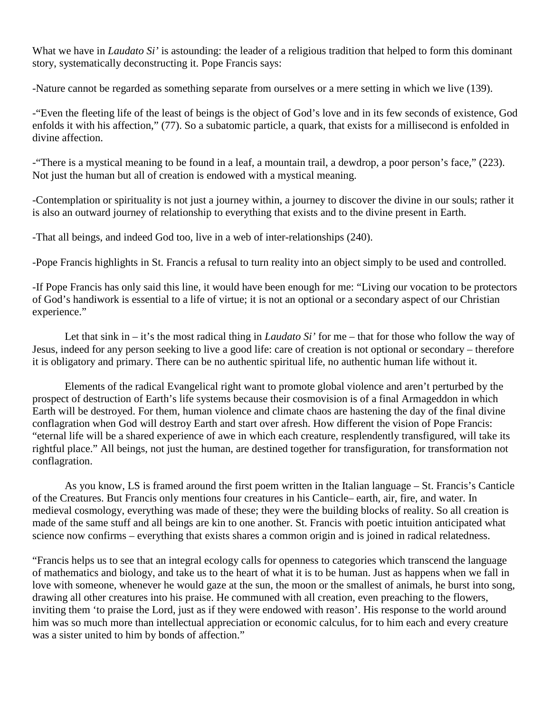What we have in *Laudato Si'* is astounding: the leader of a religious tradition that helped to form this dominant story, systematically deconstructing it. Pope Francis says:

-Nature cannot be regarded as something separate from ourselves or a mere setting in which we live (139).

-"Even the fleeting life of the least of beings is the object of God's love and in its few seconds of existence, God enfolds it with his affection," (77). So a subatomic particle, a quark, that exists for a millisecond is enfolded in divine affection.

-"There is a mystical meaning to be found in a leaf, a mountain trail, a dewdrop, a poor person's face," (223). Not just the human but all of creation is endowed with a mystical meaning.

-Contemplation or spirituality is not just a journey within, a journey to discover the divine in our souls; rather it is also an outward journey of relationship to everything that exists and to the divine present in Earth.

-That all beings, and indeed God too, live in a web of inter-relationships (240).

-Pope Francis highlights in St. Francis a refusal to turn reality into an object simply to be used and controlled.

-If Pope Francis has only said this line, it would have been enough for me: "Living our vocation to be protectors of God's handiwork is essential to a life of virtue; it is not an optional or a secondary aspect of our Christian experience."

Let that sink in – it's the most radical thing in *Laudato Si'* for me – that for those who follow the way of Jesus, indeed for any person seeking to live a good life: care of creation is not optional or secondary – therefore it is obligatory and primary. There can be no authentic spiritual life, no authentic human life without it.

Elements of the radical Evangelical right want to promote global violence and aren't perturbed by the prospect of destruction of Earth's life systems because their cosmovision is of a final Armageddon in which Earth will be destroyed. For them, human violence and climate chaos are hastening the day of the final divine conflagration when God will destroy Earth and start over afresh. How different the vision of Pope Francis: "eternal life will be a shared experience of awe in which each creature, resplendently transfigured, will take its rightful place." All beings, not just the human, are destined together for transfiguration, for transformation not conflagration.

As you know, LS is framed around the first poem written in the Italian language – St. Francis's Canticle of the Creatures. But Francis only mentions four creatures in his Canticle– earth, air, fire, and water. In medieval cosmology, everything was made of these; they were the building blocks of reality. So all creation is made of the same stuff and all beings are kin to one another. St. Francis with poetic intuition anticipated what science now confirms – everything that exists shares a common origin and is joined in radical relatedness.

"Francis helps us to see that an integral ecology calls for openness to categories which transcend the language of mathematics and biology, and take us to the heart of what it is to be human. Just as happens when we fall in love with someone, whenever he would gaze at the sun, the moon or the smallest of animals, he burst into song, drawing all other creatures into his praise. He communed with all creation, even preaching to the flowers, inviting them 'to praise the Lord, just as if they were endowed with reason'. His response to the world around him was so much more than intellectual appreciation or economic calculus, for to him each and every creature was a sister united to him by bonds of affection."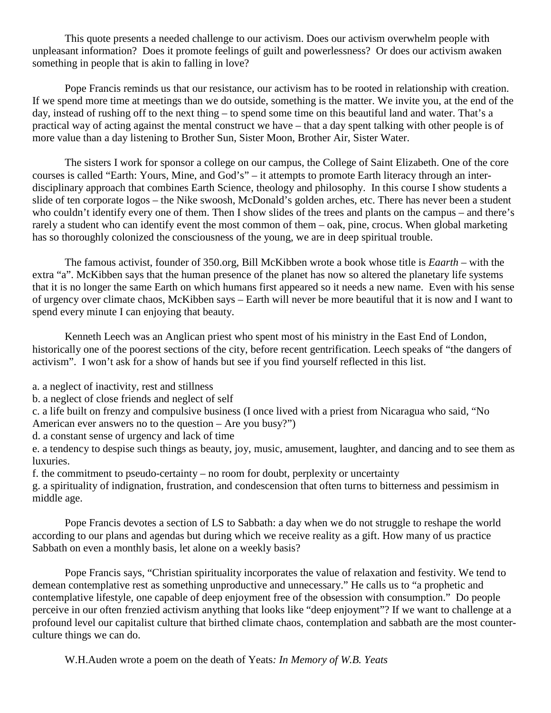This quote presents a needed challenge to our activism. Does our activism overwhelm people with unpleasant information? Does it promote feelings of guilt and powerlessness? Or does our activism awaken something in people that is akin to falling in love?

Pope Francis reminds us that our resistance, our activism has to be rooted in relationship with creation. If we spend more time at meetings than we do outside, something is the matter. We invite you, at the end of the day, instead of rushing off to the next thing – to spend some time on this beautiful land and water. That's a practical way of acting against the mental construct we have – that a day spent talking with other people is of more value than a day listening to Brother Sun, Sister Moon, Brother Air, Sister Water.

The sisters I work for sponsor a college on our campus, the College of Saint Elizabeth. One of the core courses is called "Earth: Yours, Mine, and God's" – it attempts to promote Earth literacy through an interdisciplinary approach that combines Earth Science, theology and philosophy. In this course I show students a slide of ten corporate logos – the Nike swoosh, McDonald's golden arches, etc. There has never been a student who couldn't identify every one of them. Then I show slides of the trees and plants on the campus – and there's rarely a student who can identify event the most common of them – oak, pine, crocus. When global marketing has so thoroughly colonized the consciousness of the young, we are in deep spiritual trouble.

The famous activist, founder of 350.org, Bill McKibben wrote a book whose title is *Eaarth* – with the extra "a". McKibben says that the human presence of the planet has now so altered the planetary life systems that it is no longer the same Earth on which humans first appeared so it needs a new name. Even with his sense of urgency over climate chaos, McKibben says – Earth will never be more beautiful that it is now and I want to spend every minute I can enjoying that beauty.

Kenneth Leech was an Anglican priest who spent most of his ministry in the East End of London, historically one of the poorest sections of the city, before recent gentrification. Leech speaks of "the dangers of activism". I won't ask for a show of hands but see if you find yourself reflected in this list.

a. a neglect of inactivity, rest and stillness

b. a neglect of close friends and neglect of self

c. a life built on frenzy and compulsive business (I once lived with a priest from Nicaragua who said, "No American ever answers no to the question – Are you busy?")

d. a constant sense of urgency and lack of time

e. a tendency to despise such things as beauty, joy, music, amusement, laughter, and dancing and to see them as luxuries.

f. the commitment to pseudo-certainty – no room for doubt, perplexity or uncertainty

g. a spirituality of indignation, frustration, and condescension that often turns to bitterness and pessimism in middle age.

Pope Francis devotes a section of LS to Sabbath: a day when we do not struggle to reshape the world according to our plans and agendas but during which we receive reality as a gift. How many of us practice Sabbath on even a monthly basis, let alone on a weekly basis?

Pope Francis says, "Christian spirituality incorporates the value of relaxation and festivity. We tend to demean contemplative rest as something unproductive and unnecessary." He calls us to "a prophetic and contemplative lifestyle, one capable of deep enjoyment free of the obsession with consumption." Do people perceive in our often frenzied activism anything that looks like "deep enjoyment"? If we want to challenge at a profound level our capitalist culture that birthed climate chaos, contemplation and sabbath are the most counterculture things we can do.

W.H.Auden wrote a poem on the death of Yeats*: In Memory of W.B. Yeats*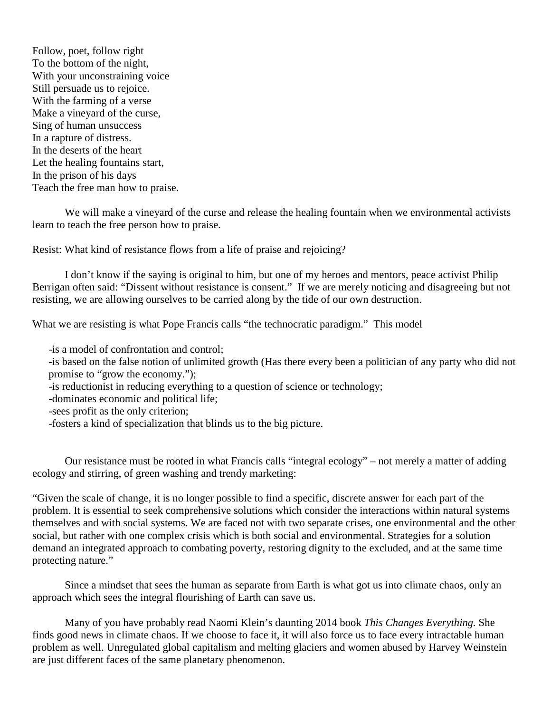Follow, poet, follow right To the bottom of the night, With your unconstraining voice Still persuade us to rejoice. With the farming of a verse Make a vineyard of the curse, Sing of human unsuccess In a rapture of distress. In the deserts of the heart Let the healing fountains start, In the prison of his days Teach the free man how to praise.

We will make a vineyard of the curse and release the healing fountain when we environmental activists learn to teach the free person how to praise.

Resist: What kind of resistance flows from a life of praise and rejoicing?

I don't know if the saying is original to him, but one of my heroes and mentors, peace activist Philip Berrigan often said: "Dissent without resistance is consent." If we are merely noticing and disagreeing but not resisting, we are allowing ourselves to be carried along by the tide of our own destruction.

What we are resisting is what Pope Francis calls "the technocratic paradigm." This model

-is a model of confrontation and control;

-is based on the false notion of unlimited growth (Has there every been a politician of any party who did not promise to "grow the economy.");

-is reductionist in reducing everything to a question of science or technology;

-dominates economic and political life;

-sees profit as the only criterion;

-fosters a kind of specialization that blinds us to the big picture.

Our resistance must be rooted in what Francis calls "integral ecology" – not merely a matter of adding ecology and stirring, of green washing and trendy marketing:

"Given the scale of change, it is no longer possible to find a specific, discrete answer for each part of the problem. It is essential to seek comprehensive solutions which consider the interactions within natural systems themselves and with social systems. We are faced not with two separate crises, one environmental and the other social, but rather with one complex crisis which is both social and environmental. Strategies for a solution demand an integrated approach to combating poverty, restoring dignity to the excluded, and at the same time protecting nature."

Since a mindset that sees the human as separate from Earth is what got us into climate chaos, only an approach which sees the integral flourishing of Earth can save us.

Many of you have probably read Naomi Klein's daunting 2014 book *This Changes Everything.* She finds good news in climate chaos. If we choose to face it, it will also force us to face every intractable human problem as well. Unregulated global capitalism and melting glaciers and women abused by Harvey Weinstein are just different faces of the same planetary phenomenon.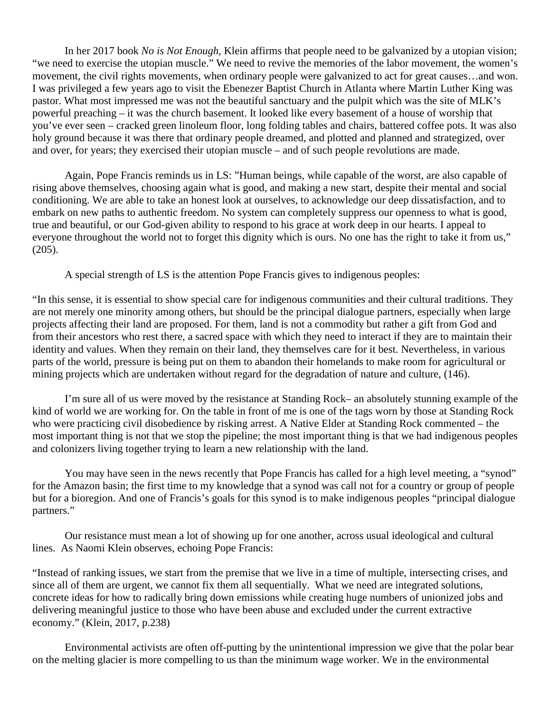In her 2017 book *No is Not Enough,* Klein affirms that people need to be galvanized by a utopian vision; "we need to exercise the utopian muscle." We need to revive the memories of the labor movement, the women's movement, the civil rights movements, when ordinary people were galvanized to act for great causes…and won. I was privileged a few years ago to visit the Ebenezer Baptist Church in Atlanta where Martin Luther King was pastor. What most impressed me was not the beautiful sanctuary and the pulpit which was the site of MLK's powerful preaching – it was the church basement. It looked like every basement of a house of worship that you've ever seen – cracked green linoleum floor, long folding tables and chairs, battered coffee pots. It was also holy ground because it was there that ordinary people dreamed, and plotted and planned and strategized, over and over, for years; they exercised their utopian muscle – and of such people revolutions are made.

Again, Pope Francis reminds us in LS: "Human beings, while capable of the worst, are also capable of rising above themselves, choosing again what is good, and making a new start, despite their mental and social conditioning. We are able to take an honest look at ourselves, to acknowledge our deep dissatisfaction, and to embark on new paths to authentic freedom. No system can completely suppress our openness to what is good, true and beautiful, or our God-given ability to respond to his grace at work deep in our hearts. I appeal to everyone throughout the world not to forget this dignity which is ours. No one has the right to take it from us," (205).

A special strength of LS is the attention Pope Francis gives to indigenous peoples:

"In this sense, it is essential to show special care for indigenous communities and their cultural traditions. They are not merely one minority among others, but should be the principal dialogue partners, especially when large projects affecting their land are proposed. For them, land is not a commodity but rather a gift from God and from their ancestors who rest there, a sacred space with which they need to interact if they are to maintain their identity and values. When they remain on their land, they themselves care for it best. Nevertheless, in various parts of the world, pressure is being put on them to abandon their homelands to make room for agricultural or mining projects which are undertaken without regard for the degradation of nature and culture, (146).

I'm sure all of us were moved by the resistance at Standing Rock– an absolutely stunning example of the kind of world we are working for. On the table in front of me is one of the tags worn by those at Standing Rock who were practicing civil disobedience by risking arrest. A Native Elder at Standing Rock commented – the most important thing is not that we stop the pipeline; the most important thing is that we had indigenous peoples and colonizers living together trying to learn a new relationship with the land.

You may have seen in the news recently that Pope Francis has called for a high level meeting, a "synod" for the Amazon basin; the first time to my knowledge that a synod was call not for a country or group of people but for a bioregion. And one of Francis's goals for this synod is to make indigenous peoples "principal dialogue partners."

Our resistance must mean a lot of showing up for one another, across usual ideological and cultural lines. As Naomi Klein observes, echoing Pope Francis:

"Instead of ranking issues, we start from the premise that we live in a time of multiple, intersecting crises, and since all of them are urgent, we cannot fix them all sequentially. What we need are integrated solutions, concrete ideas for how to radically bring down emissions while creating huge numbers of unionized jobs and delivering meaningful justice to those who have been abuse and excluded under the current extractive economy." (Klein, 2017, p.238)

Environmental activists are often off-putting by the unintentional impression we give that the polar bear on the melting glacier is more compelling to us than the minimum wage worker. We in the environmental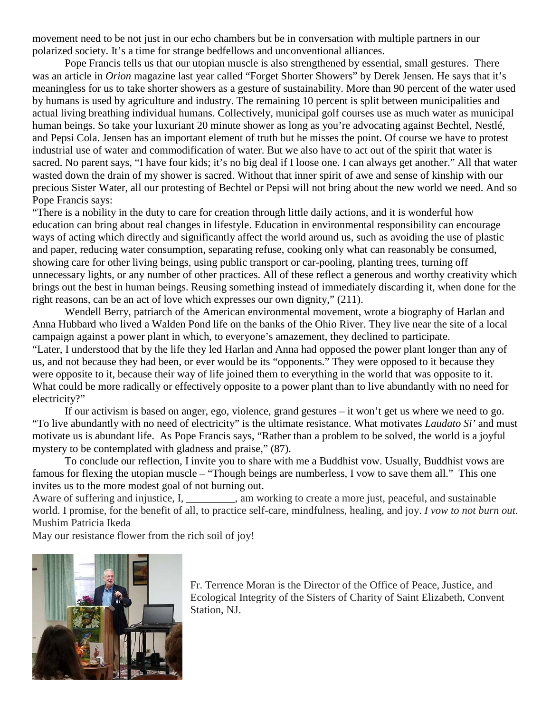movement need to be not just in our echo chambers but be in conversation with multiple partners in our polarized society. It's a time for strange bedfellows and unconventional alliances.

Pope Francis tells us that our utopian muscle is also strengthened by essential, small gestures. There was an article in *Orion* magazine last year called "Forget Shorter Showers" by Derek Jensen. He says that it's meaningless for us to take shorter showers as a gesture of sustainability. More than 90 percent of the water used by humans is used by agriculture and industry. The remaining 10 percent is split between municipalities and actual living breathing individual humans. Collectively, municipal golf courses use as much water as municipal human beings. So take your luxuriant 20 minute shower as long as you're advocating against Bechtel, Nestlé, and Pepsi Cola. Jensen has an important element of truth but he misses the point. Of course we have to protest industrial use of water and commodification of water. But we also have to act out of the spirit that water is sacred. No parent says, "I have four kids; it's no big deal if I loose one. I can always get another." All that water wasted down the drain of my shower is sacred. Without that inner spirit of awe and sense of kinship with our precious Sister Water, all our protesting of Bechtel or Pepsi will not bring about the new world we need. And so Pope Francis says:

"There is a nobility in the duty to care for creation through little daily actions, and it is wonderful how education can bring about real changes in lifestyle. Education in environmental responsibility can encourage ways of acting which directly and significantly affect the world around us, such as avoiding the use of plastic and paper, reducing water consumption, separating refuse, cooking only what can reasonably be consumed, showing care for other living beings, using public transport or car-pooling, planting trees, turning off unnecessary lights, or any number of other practices. All of these reflect a generous and worthy creativity which brings out the best in human beings. Reusing something instead of immediately discarding it, when done for the right reasons, can be an act of love which expresses our own dignity," (211).

Wendell Berry, patriarch of the American environmental movement, wrote a biography of Harlan and Anna Hubbard who lived a Walden Pond life on the banks of the Ohio River. They live near the site of a local campaign against a power plant in which, to everyone's amazement, they declined to participate. "Later, I understood that by the life they led Harlan and Anna had opposed the power plant longer than any of us, and not because they had been, or ever would be its "opponents." They were opposed to it because they were opposite to it, because their way of life joined them to everything in the world that was opposite to it. What could be more radically or effectively opposite to a power plant than to live abundantly with no need for electricity?"

If our activism is based on anger, ego, violence, grand gestures – it won't get us where we need to go. "To live abundantly with no need of electricity" is the ultimate resistance. What motivates *Laudato Si'* and must motivate us is abundant life. As Pope Francis says, "Rather than a problem to be solved, the world is a joyful mystery to be contemplated with gladness and praise," (87).

To conclude our reflection, I invite you to share with me a Buddhist vow. Usually, Buddhist vows are famous for flexing the utopian muscle – "Though beings are numberless, I vow to save them all." This one invites us to the more modest goal of not burning out.

Aware of suffering and injustice, I, am working to create a more just, peaceful, and sustainable world. I promise, for the benefit of all, to practice self-care, mindfulness, healing, and joy. *I vow to not burn out*. [Mushim Patricia Ikeda](https://www.lionsroar.com/author/mushim-patricia-ikeda/)

May our resistance flower from the rich soil of joy!



Fr. Terrence Moran is the Director of the Office of Peace, Justice, and Ecological Integrity of the Sisters of Charity of Saint Elizabeth, Convent Station, NJ.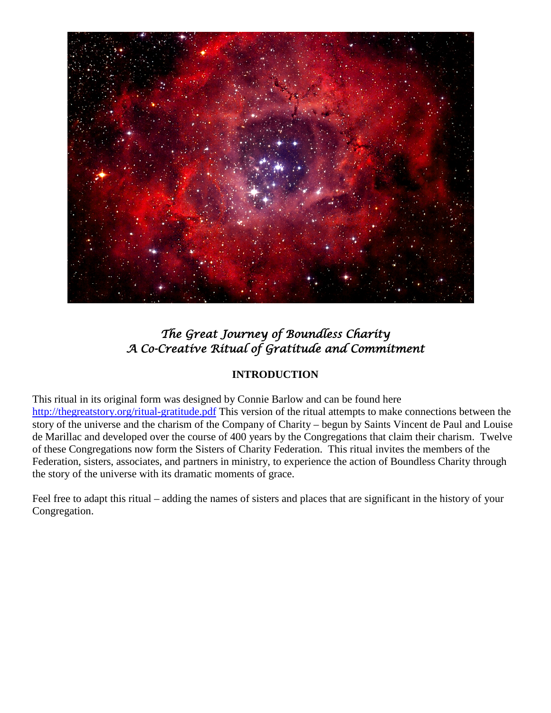

# *The Great Journey of Boundless Charity A Co-Creative Ritual of Gratitude and Commitment*

# **INTRODUCTION**

This ritual in its original form was designed by Connie Barlow and can be found here <http://thegreatstory.org/ritual-gratitude.pdf> This version of the ritual attempts to make connections between the story of the universe and the charism of the Company of Charity – begun by Saints Vincent de Paul and Louise de Marillac and developed over the course of 400 years by the Congregations that claim their charism. Twelve of these Congregations now form the Sisters of Charity Federation. This ritual invites the members of the Federation, sisters, associates, and partners in ministry, to experience the action of Boundless Charity through the story of the universe with its dramatic moments of grace.

Feel free to adapt this ritual – adding the names of sisters and places that are significant in the history of your Congregation.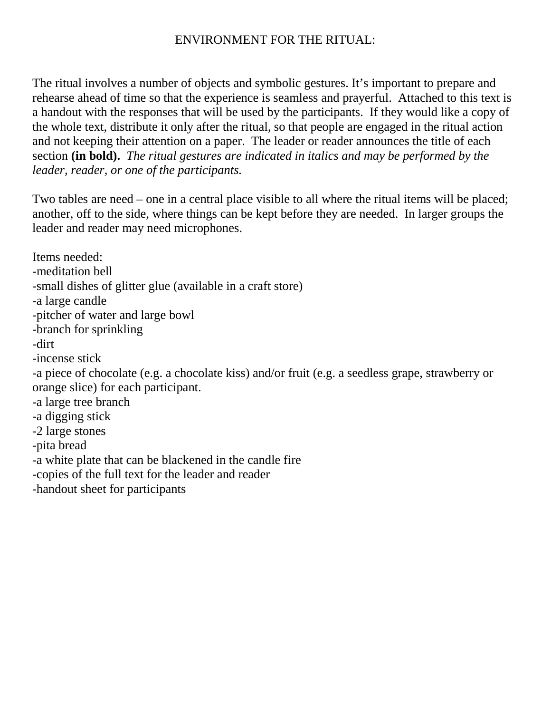# ENVIRONMENT FOR THE RITUAL:

The ritual involves a number of objects and symbolic gestures. It's important to prepare and rehearse ahead of time so that the experience is seamless and prayerful. Attached to this text is a handout with the responses that will be used by the participants. If they would like a copy of the whole text, distribute it only after the ritual, so that people are engaged in the ritual action and not keeping their attention on a paper. The leader or reader announces the title of each section **(in bold).** *The ritual gestures are indicated in italics and may be performed by the leader, reader, or one of the participants.*

Two tables are need – one in a central place visible to all where the ritual items will be placed; another, off to the side, where things can be kept before they are needed. In larger groups the leader and reader may need microphones.

Items needed: -meditation bell -small dishes of glitter glue (available in a craft store) -a large candle -pitcher of water and large bowl -branch for sprinkling -dirt -incense stick -a piece of chocolate (e.g. a chocolate kiss) and/or fruit (e.g. a seedless grape, strawberry or orange slice) for each participant. -a large tree branch -a digging stick -2 large stones -pita bread -a white plate that can be blackened in the candle fire -copies of the full text for the leader and reader -handout sheet for participants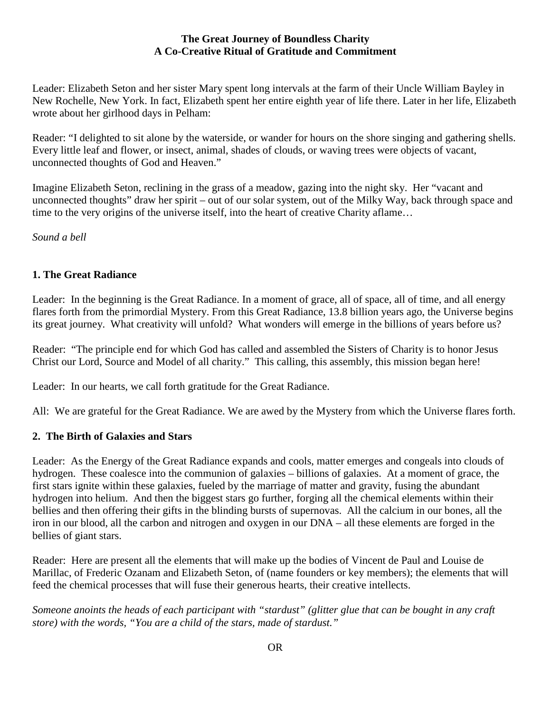#### **The Great Journey of Boundless Charity A Co-Creative Ritual of Gratitude and Commitment**

Leader: Elizabeth Seton and her sister Mary spent long intervals at the farm of their Uncle William Bayley in New Rochelle, New York. In fact, Elizabeth spent her entire eighth year of life there. Later in her life, Elizabeth wrote about her girlhood days in Pelham:

Reader: "I delighted to sit alone by the waterside, or wander for hours on the shore singing and gathering shells. Every little leaf and flower, or insect, animal, shades of clouds, or waving trees were objects of vacant, unconnected thoughts of God and Heaven."

Imagine Elizabeth Seton, reclining in the grass of a meadow, gazing into the night sky. Her "vacant and unconnected thoughts" draw her spirit – out of our solar system, out of the Milky Way, back through space and time to the very origins of the universe itself, into the heart of creative Charity aflame…

*Sound a bell*

#### **1. The Great Radiance**

Leader: In the beginning is the Great Radiance. In a moment of grace, all of space, all of time, and all energy flares forth from the primordial Mystery. From this Great Radiance, 13.8 billion years ago, the Universe begins its great journey. What creativity will unfold? What wonders will emerge in the billions of years before us?

Reader: "The principle end for which God has called and assembled the Sisters of Charity is to honor Jesus Christ our Lord, Source and Model of all charity." This calling, this assembly, this mission began here!

Leader: In our hearts, we call forth gratitude for the Great Radiance.

All: We are grateful for the Great Radiance. We are awed by the Mystery from which the Universe flares forth.

#### **2. The Birth of Galaxies and Stars**

Leader: As the Energy of the Great Radiance expands and cools, matter emerges and congeals into clouds of hydrogen. These coalesce into the communion of galaxies – billions of galaxies. At a moment of grace, the first stars ignite within these galaxies, fueled by the marriage of matter and gravity, fusing the abundant hydrogen into helium. And then the biggest stars go further, forging all the chemical elements within their bellies and then offering their gifts in the blinding bursts of supernovas. All the calcium in our bones, all the iron in our blood, all the carbon and nitrogen and oxygen in our DNA – all these elements are forged in the bellies of giant stars.

Reader: Here are present all the elements that will make up the bodies of Vincent de Paul and Louise de Marillac, of Frederic Ozanam and Elizabeth Seton, of (name founders or key members); the elements that will feed the chemical processes that will fuse their generous hearts, their creative intellects.

*Someone anoints the heads of each participant with "stardust" (glitter glue that can be bought in any craft store) with the words, "You are a child of the stars, made of stardust."*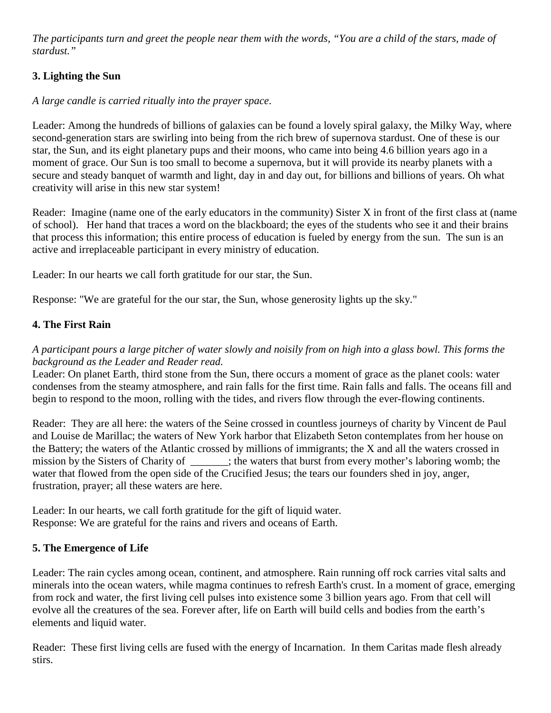*The participants turn and greet the people near them with the words, "You are a child of the stars, made of stardust."*

# **3. Lighting the Sun**

## *A large candle is carried ritually into the prayer space*.

Leader: Among the hundreds of billions of galaxies can be found a lovely spiral galaxy, the Milky Way, where second-generation stars are swirling into being from the rich brew of supernova stardust. One of these is our star, the Sun, and its eight planetary pups and their moons, who came into being 4.6 billion years ago in a moment of grace. Our Sun is too small to become a supernova, but it will provide its nearby planets with a secure and steady banquet of warmth and light, day in and day out, for billions and billions of years. Oh what creativity will arise in this new star system!

Reader: Imagine (name one of the early educators in the community) Sister X in front of the first class at (name of school). Her hand that traces a word on the blackboard; the eyes of the students who see it and their brains that process this information; this entire process of education is fueled by energy from the sun. The sun is an active and irreplaceable participant in every ministry of education.

Leader: In our hearts we call forth gratitude for our star, the Sun.

Response: "We are grateful for the our star, the Sun, whose generosity lights up the sky."

# **4. The First Rain**

## *A participant pours a large pitcher of water slowly and noisily from on high into a glass bowl. This forms the background as the Leader and Reader read.*

Leader: On planet Earth, third stone from the Sun, there occurs a moment of grace as the planet cools: water condenses from the steamy atmosphere, and rain falls for the first time. Rain falls and falls. The oceans fill and begin to respond to the moon, rolling with the tides, and rivers flow through the ever-flowing continents.

Reader: They are all here: the waters of the Seine crossed in countless journeys of charity by Vincent de Paul and Louise de Marillac; the waters of New York harbor that Elizabeth Seton contemplates from her house on the Battery; the waters of the Atlantic crossed by millions of immigrants; the X and all the waters crossed in mission by the Sisters of Charity of \_\_\_\_\_\_\_; the waters that burst from every mother's laboring womb; the water that flowed from the open side of the Crucified Jesus; the tears our founders shed in joy, anger, frustration, prayer; all these waters are here.

Leader: In our hearts, we call forth gratitude for the gift of liquid water. Response: We are grateful for the rains and rivers and oceans of Earth.

#### **5. The Emergence of Life**

Leader: The rain cycles among ocean, continent, and atmosphere. Rain running off rock carries vital salts and minerals into the ocean waters, while magma continues to refresh Earth's crust. In a moment of grace, emerging from rock and water, the first living cell pulses into existence some 3 billion years ago. From that cell will evolve all the creatures of the sea. Forever after, life on Earth will build cells and bodies from the earth's elements and liquid water.

Reader: These first living cells are fused with the energy of Incarnation. In them Caritas made flesh already stirs.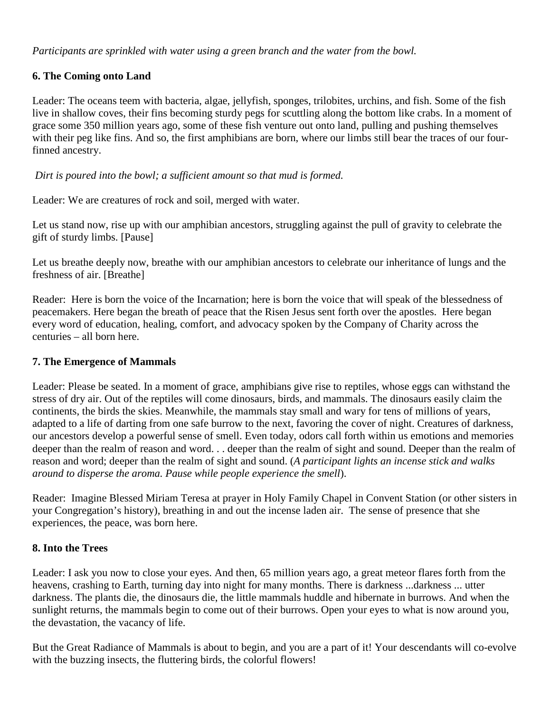*Participants are sprinkled with water using a green branch and the water from the bowl.*

## **6. The Coming onto Land**

Leader: The oceans teem with bacteria, algae, jellyfish, sponges, trilobites, urchins, and fish. Some of the fish live in shallow coves, their fins becoming sturdy pegs for scuttling along the bottom like crabs. In a moment of grace some 350 million years ago, some of these fish venture out onto land, pulling and pushing themselves with their peg like fins. And so, the first amphibians are born, where our limbs still bear the traces of our fourfinned ancestry.

*Dirt is poured into the bowl; a sufficient amount so that mud is formed.*

Leader: We are creatures of rock and soil, merged with water.

Let us stand now, rise up with our amphibian ancestors, struggling against the pull of gravity to celebrate the gift of sturdy limbs. [Pause]

Let us breathe deeply now, breathe with our amphibian ancestors to celebrate our inheritance of lungs and the freshness of air. [Breathe]

Reader: Here is born the voice of the Incarnation; here is born the voice that will speak of the blessedness of peacemakers. Here began the breath of peace that the Risen Jesus sent forth over the apostles. Here began every word of education, healing, comfort, and advocacy spoken by the Company of Charity across the centuries – all born here.

#### **7. The Emergence of Mammals**

Leader: Please be seated. In a moment of grace, amphibians give rise to reptiles, whose eggs can withstand the stress of dry air. Out of the reptiles will come dinosaurs, birds, and mammals. The dinosaurs easily claim the continents, the birds the skies. Meanwhile, the mammals stay small and wary for tens of millions of years, adapted to a life of darting from one safe burrow to the next, favoring the cover of night. Creatures of darkness, our ancestors develop a powerful sense of smell. Even today, odors call forth within us emotions and memories deeper than the realm of reason and word. . . deeper than the realm of sight and sound. Deeper than the realm of reason and word; deeper than the realm of sight and sound. (*A participant lights an incense stick and walks around to disperse the aroma. Pause while people experience the smell*).

Reader: Imagine Blessed Miriam Teresa at prayer in Holy Family Chapel in Convent Station (or other sisters in your Congregation's history), breathing in and out the incense laden air. The sense of presence that she experiences, the peace, was born here.

#### **8. Into the Trees**

Leader: I ask you now to close your eyes. And then, 65 million years ago, a great meteor flares forth from the heavens, crashing to Earth, turning day into night for many months. There is darkness ...darkness ... utter darkness. The plants die, the dinosaurs die, the little mammals huddle and hibernate in burrows. And when the sunlight returns, the mammals begin to come out of their burrows. Open your eyes to what is now around you, the devastation, the vacancy of life.

But the Great Radiance of Mammals is about to begin, and you are a part of it! Your descendants will co-evolve with the buzzing insects, the fluttering birds, the colorful flowers!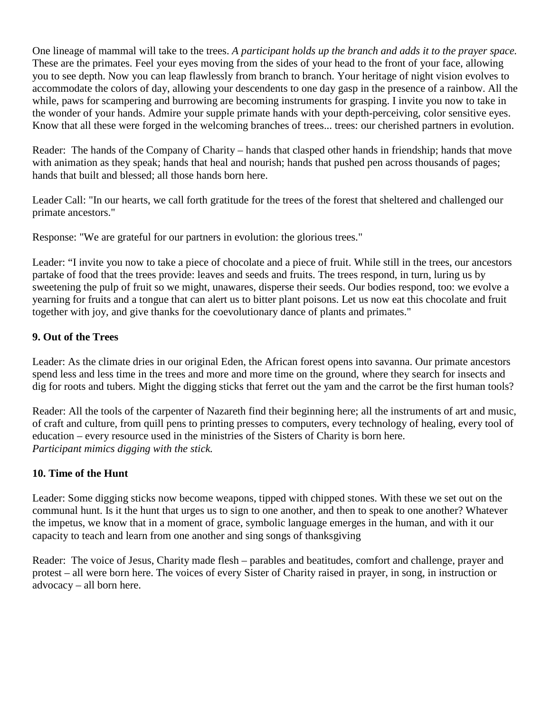One lineage of mammal will take to the trees. *A participant holds up the branch and adds it to the prayer space.* These are the primates. Feel your eyes moving from the sides of your head to the front of your face, allowing you to see depth. Now you can leap flawlessly from branch to branch. Your heritage of night vision evolves to accommodate the colors of day, allowing your descendents to one day gasp in the presence of a rainbow. All the while, paws for scampering and burrowing are becoming instruments for grasping. I invite you now to take in the wonder of your hands. Admire your supple primate hands with your depth-perceiving, color sensitive eyes. Know that all these were forged in the welcoming branches of trees... trees: our cherished partners in evolution.

Reader: The hands of the Company of Charity – hands that clasped other hands in friendship; hands that move with animation as they speak; hands that heal and nourish; hands that pushed pen across thousands of pages; hands that built and blessed; all those hands born here.

Leader Call: "In our hearts, we call forth gratitude for the trees of the forest that sheltered and challenged our primate ancestors."

Response: "We are grateful for our partners in evolution: the glorious trees."

Leader: "I invite you now to take a piece of chocolate and a piece of fruit. While still in the trees, our ancestors partake of food that the trees provide: leaves and seeds and fruits. The trees respond, in turn, luring us by sweetening the pulp of fruit so we might, unawares, disperse their seeds. Our bodies respond, too: we evolve a yearning for fruits and a tongue that can alert us to bitter plant poisons. Let us now eat this chocolate and fruit together with joy, and give thanks for the coevolutionary dance of plants and primates."

# **9. Out of the Trees**

Leader: As the climate dries in our original Eden, the African forest opens into savanna. Our primate ancestors spend less and less time in the trees and more and more time on the ground, where they search for insects and dig for roots and tubers. Might the digging sticks that ferret out the yam and the carrot be the first human tools?

Reader: All the tools of the carpenter of Nazareth find their beginning here; all the instruments of art and music, of craft and culture, from quill pens to printing presses to computers, every technology of healing, every tool of education – every resource used in the ministries of the Sisters of Charity is born here. *Participant mimics digging with the stick.*

# **10. Time of the Hunt**

Leader: Some digging sticks now become weapons, tipped with chipped stones. With these we set out on the communal hunt. Is it the hunt that urges us to sign to one another, and then to speak to one another? Whatever the impetus, we know that in a moment of grace, symbolic language emerges in the human, and with it our capacity to teach and learn from one another and sing songs of thanksgiving

Reader: The voice of Jesus, Charity made flesh – parables and beatitudes, comfort and challenge, prayer and protest – all were born here. The voices of every Sister of Charity raised in prayer, in song, in instruction or advocacy – all born here.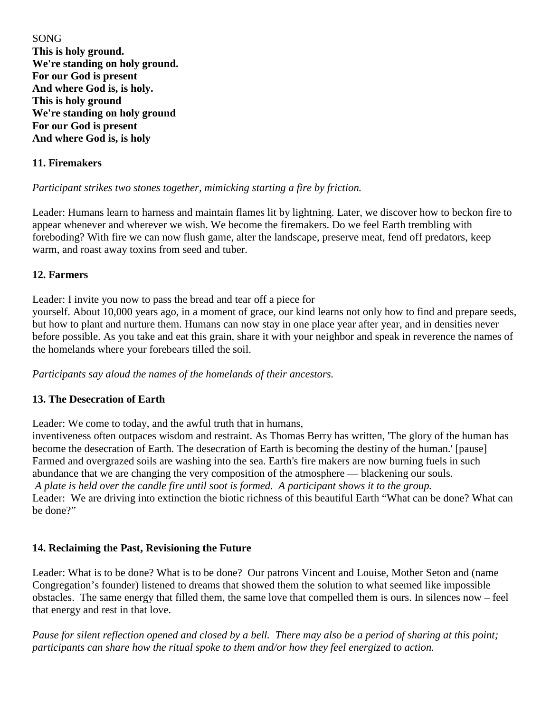SONG **This is holy ground. We're standing on holy ground. For our God is present And where God is, is holy. This is holy ground We're standing on holy ground For our God is present And where God is, is holy**

#### **11. Firemakers**

#### *Participant strikes two stones together, mimicking starting a fire by friction.*

Leader: Humans learn to harness and maintain flames lit by lightning. Later, we discover how to beckon fire to appear whenever and wherever we wish. We become the firemakers. Do we feel Earth trembling with foreboding? With fire we can now flush game, alter the landscape, preserve meat, fend off predators, keep warm, and roast away toxins from seed and tuber.

#### **12. Farmers**

Leader: I invite you now to pass the bread and tear off a piece for

yourself. About 10,000 years ago, in a moment of grace, our kind learns not only how to find and prepare seeds, but how to plant and nurture them. Humans can now stay in one place year after year, and in densities never before possible. As you take and eat this grain, share it with your neighbor and speak in reverence the names of the homelands where your forebears tilled the soil.

*Participants say aloud the names of the homelands of their ancestors.*

#### **13. The Desecration of Earth**

Leader: We come to today, and the awful truth that in humans,

inventiveness often outpaces wisdom and restraint. As Thomas Berry has written, 'The glory of the human has become the desecration of Earth. The desecration of Earth is becoming the destiny of the human.' [pause] Farmed and overgrazed soils are washing into the sea. Earth's fire makers are now burning fuels in such abundance that we are changing the very composition of the atmosphere — blackening our souls. *A plate is held over the candle fire until soot is formed. A participant shows it to the group.* Leader: We are driving into extinction the biotic richness of this beautiful Earth "What can be done? What can be done?"

#### **14. Reclaiming the Past, Revisioning the Future**

Leader: What is to be done? What is to be done? Our patrons Vincent and Louise, Mother Seton and (name Congregation's founder) listened to dreams that showed them the solution to what seemed like impossible obstacles. The same energy that filled them, the same love that compelled them is ours. In silences now – feel that energy and rest in that love.

*Pause for silent reflection opened and closed by a bell. There may also be a period of sharing at this point; participants can share how the ritual spoke to them and/or how they feel energized to action.*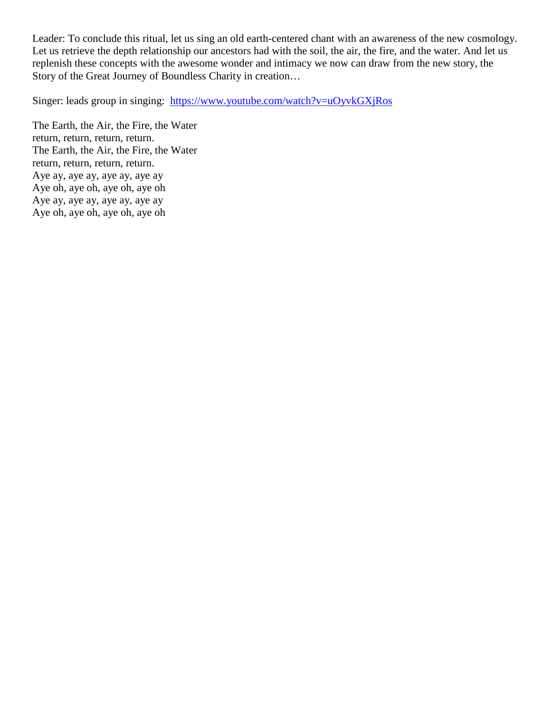Leader: To conclude this ritual, let us sing an old earth-centered chant with an awareness of the new cosmology. Let us retrieve the depth relationship our ancestors had with the soil, the air, the fire, and the water. And let us replenish these concepts with the awesome wonder and intimacy we now can draw from the new story, the Story of the Great Journey of Boundless Charity in creation…

Singer: leads group in singing: <https://www.youtube.com/watch?v=uOyvkGXjRos>

The Earth, the Air, the Fire, the Water return, return, return, return. The Earth, the Air, the Fire, the Water return, return, return, return. Aye ay, aye ay, aye ay, aye ay Aye oh, aye oh, aye oh, aye oh Aye ay, aye ay, aye ay, aye ay Aye oh, aye oh, aye oh, aye oh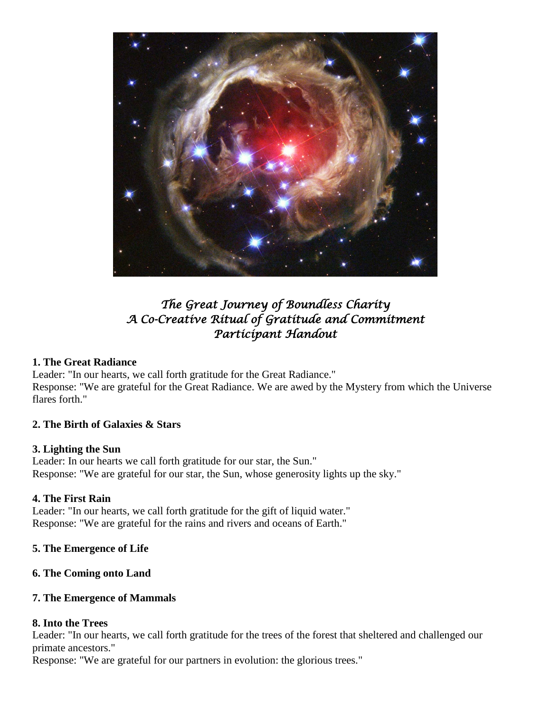

# *The Great Journey of Boundless Charity A Co-Creative Ritual of Gratitude and Commitment Participant Handout*

#### **1. The Great Radiance**

Leader: "In our hearts, we call forth gratitude for the Great Radiance." Response: "We are grateful for the Great Radiance. We are awed by the Mystery from which the Universe flares forth."

# **2. The Birth of Galaxies & Stars**

#### **3. Lighting the Sun**

Leader: In our hearts we call forth gratitude for our star, the Sun." Response: "We are grateful for our star, the Sun, whose generosity lights up the sky."

# **4. The First Rain**

Leader: "In our hearts, we call forth gratitude for the gift of liquid water." Response: "We are grateful for the rains and rivers and oceans of Earth."

#### **5. The Emergence of Life**

#### **6. The Coming onto Land**

#### **7. The Emergence of Mammals**

#### **8. Into the Trees**

Leader: "In our hearts, we call forth gratitude for the trees of the forest that sheltered and challenged our primate ancestors."

Response: "We are grateful for our partners in evolution: the glorious trees."